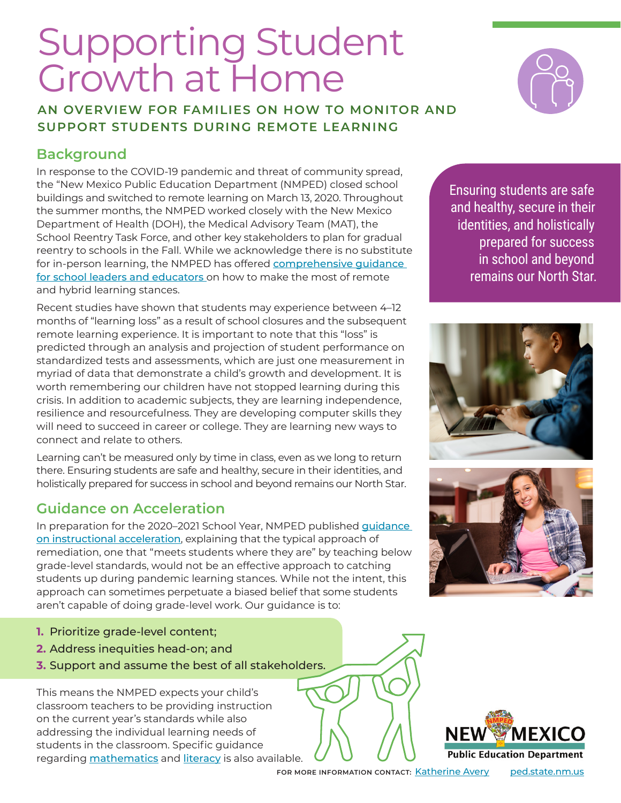## Supporting Student Growth at Home

**AN OVERVIEW FOR FAMILIES ON HOW TO MONITOR AND SUPPORT STUDENTS DURING REMOTE LEARNING**

### **Background**

In response to the COVID-19 pandemic and threat of community spread, the "New Mexico Public Education Department (NMPED) closed school buildings and switched to remote learning on March 13, 2020. Throughout the summer months, the NMPED worked closely with the New Mexico Department of Health (DOH), the Medical Advisory Team (MAT), the School Reentry Task Force, and other key stakeholders to plan for gradual reentry to schools in the Fall. While we acknowledge there is no substitute for in-person learning, the NMPED has offered comprehensive quidance [for school leaders and educators](https://webnew.ped.state.nm.us/reentry-district-and-school-guidance/) on how to make the most of remote and hybrid learning stances.

Recent studies have shown that students may experience between 4–12 months of "learning loss" as a result of school closures and the subsequent remote learning experience. It is important to note that this "loss" is predicted through an analysis and projection of student performance on standardized tests and assessments, which are just one measurement in myriad of data that demonstrate a child's growth and development. It is worth remembering our children have not stopped learning during this crisis. In addition to academic subjects, they are learning independence, resilience and resourcefulness. They are developing computer skills they will need to succeed in career or college. They are learning new ways to connect and relate to others.

Learning can't be measured only by time in class, even as we long to return there. Ensuring students are safe and healthy, secure in their identities, and holistically prepared for success in school and beyond remains our North Star.

### **Guidance on Acceleration**

In preparation for the 2020-2021 School Year, NMPED published *quidance* [on instructional acceleration](https://webnew.ped.state.nm.us/wp-content/uploads/2020/07/NMPED_SupportDoc_InstructionalAcceleration-1.pdf), explaining that the typical approach of remediation, one that "meets students where they are" by teaching below grade-level standards, would not be an effective approach to catching students up during pandemic learning stances. While not the intent, this approach can sometimes perpetuate a biased belief that some students aren't capable of doing grade-level work. Our guidance is to:

- **1.** Prioritize grade-level content;
- **2.** Address inequities head-on; and
- **3.** Support and assume the best of all stakeholders.

This means the NMPED expects your child's classroom teachers to be providing instruction on the current year's standards while also addressing the individual learning needs of students in the classroom. Specific guidance regarding **[mathematics](https://webnew.ped.state.nm.us/wp-content/uploads/2020/08/New-Mexico-Math-Guidance-Document-for-Acceleration-Guide-v3.pdf)** and **[literacy](https://webnew.ped.state.nm.us/wp-content/uploads/2020/07/New-Mexico-Literacy-Guidance-Document-for-Acceleration-Guide.pdf)** is also available. Ensuring students are safe and healthy, secure in their identities, and holistically prepared for success in school and beyond remains our North Star.











**FOR MORE INFORMATION CONTACT:** [Katherine Avery](mailto:Katherine.Avery%40state.nm.us?subject=) [ped.state.nm.us](https://webnew.ped.state.nm.us)